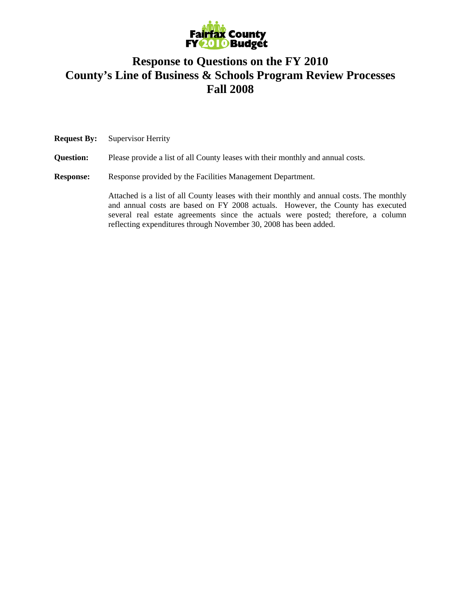

## **Response to Questions on the FY 2010 County's Line of Business & Schools Program Review Processes Fall 2008**

| <b>Request By:</b> | <b>Supervisor Herrity</b>                                                                                                                                                                                                                                                                                                                                                            |
|--------------------|--------------------------------------------------------------------------------------------------------------------------------------------------------------------------------------------------------------------------------------------------------------------------------------------------------------------------------------------------------------------------------------|
| <b>Question:</b>   | Please provide a list of all County leases with their monthly and annual costs.                                                                                                                                                                                                                                                                                                      |
| <b>Response:</b>   | Response provided by the Facilities Management Department.                                                                                                                                                                                                                                                                                                                           |
|                    | Attached is a list of all County leases with their monthly and annual costs. The monthly<br>$\mathbf{1}$ , and $\mathbf{1}$ , and $\mathbf{1}$ , and $\mathbf{1}$ , and $\mathbf{1}$ , and $\mathbf{1}$ , and $\mathbf{1}$ , and $\mathbf{1}$ , and $\mathbf{1}$ , and $\mathbf{1}$ , and $\mathbf{1}$ , and $\mathbf{1}$ , and $\mathbf{1}$ , and $\mathbf{1}$ , and $\mathbf{1}$ , |

and annual costs are based on FY 2008 actuals. However, the County has executed several real estate agreements since the actuals were posted; therefore, a column reflecting expenditures through November 30, 2008 has been added.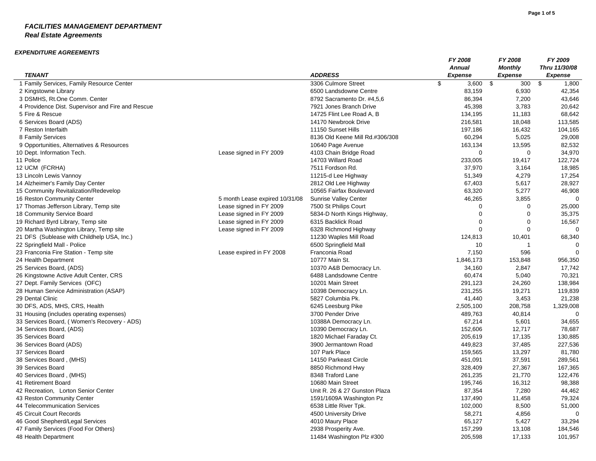## *FACILITIES MANAGEMENT DEPARTMENT Real Estate Agreements*

## *EXPENDITURE AGREEMENTS*

|                                                   |                                |                                 | FY 2008        | FY 2008        | FY 2009        |
|---------------------------------------------------|--------------------------------|---------------------------------|----------------|----------------|----------------|
|                                                   |                                |                                 | <b>Annual</b>  | <b>Monthly</b> | Thru 11/30/08  |
| <b>TENANT</b>                                     |                                | <b>ADDRESS</b>                  | <b>Expense</b> | <b>Expense</b> | <b>Expense</b> |
| 1 Family Services, Family Resource Center         |                                | 3306 Culmore Street             | \$<br>3,600    | 300<br>\$      | \$<br>1,800    |
| 2 Kingstowne Library                              |                                | 6500 Landsdowne Centre          | 83,159         | 6,930          | 42,354         |
| 3 DSMHS, Rt.One Comm. Center                      |                                | 8792 Sacramento Dr. #4,5,6      | 86,394         | 7,200          | 43.646         |
| 4 Providence Dist. Supervisor and Fire and Rescue |                                | 7921 Jones Branch Drive         | 45,398         | 3,783          | 20,642         |
| 5 Fire & Rescue                                   |                                | 14725 Flint Lee Road A, B       | 134,195        | 11,183         | 68,642         |
| 6 Services Board (ADS)                            |                                | 14170 Newbrook Drive            | 216,581        | 18,048         | 113,585        |
| 7 Reston Interfaith                               |                                | 11150 Sunset Hills              | 197,186        | 16,432         | 104,165        |
| 8 Family Services                                 |                                | 8136 Old Keene Mill Rd.#306/308 | 60,294         | 5,025          | 29,008         |
| 9 Opportunities, Alternatives & Resources         |                                | 10640 Page Avenue               | 163,134        | 13,595         | 82,532         |
| 10 Dept. Information Tech.                        | Lease signed in FY 2009        | 4103 Chain Bridge Road          | $\mathbf 0$    | 0              | 34,970         |
| 11 Police                                         |                                | 14703 Willard Road              | 233,005        | 19,417         | 122,724        |
| 12 UCM (FCRHA)                                    |                                | 7511 Fordson Rd.                | 37,970         | 3,164          | 18,985         |
| 13 Lincoln Lewis Vannoy                           |                                | 11215-d Lee Highway             | 51,349         | 4,279          | 17,254         |
| 14 Alzheimer's Family Day Center                  |                                | 2812 Old Lee Highway            | 67,403         | 5,617          | 28,927         |
| 15 Community Revitalization/Redevelop             |                                | 10565 Fairfax Boulevard         | 63,320         | 5,277          | 46,908         |
| 16 Reston Community Center                        | 5 month Lease expired 10/31/08 | <b>Sunrise Valley Center</b>    | 46,265         | 3,855          | $\Omega$       |
| 17 Thomas Jefferson Library, Temp site            | Lease signed in FY 2009        | 7500 St Philips Court           | 0              | $\Omega$       | 25,000         |
| 18 Community Service Board                        | Lease signed in FY 2009        | 5834-D North Kings Highway,     | $\Omega$       | $\Omega$       | 35,375         |
| 19 Richard Byrd Library, Temp site                | Lease signed in FY 2009        | 6315 Backlick Road              | $\Omega$       | $\Omega$       | 16,567         |
| 20 Martha Washington Library, Temp site           | Lease signed in FY 2009        | 6328 Richmond Highway           | $\Omega$       | $\Omega$       |                |
| 21 DFS (Sublease with Childhelp USA, Inc.)        |                                | 11230 Waples Mill Road          | 124,813        | 10,401         | 68,340         |
| 22 Springfield Mall - Police                      |                                | 6500 Springfield Mall           | 10             | -1             |                |
| 23 Franconia Fire Station - Temp site             | Lease expired in FY 2008       | Franconia Road                  | 7,150          | 596            |                |
| 24 Health Department                              |                                | 10777 Main St.                  | 1,846,173      | 153,848        | 956,350        |
| 25 Services Board, (ADS)                          |                                | 10370 A&B Democracy Ln.         | 34,160         | 2,847          | 17,742         |
| 26 Kingstowne Active Adult Center, CRS            |                                | 6488 Landsdowne Centre          | 60,474         | 5,040          | 70,321         |
| 27 Dept. Family Services (OFC)                    |                                | 10201 Main Street               | 291,123        | 24,260         | 138,984        |
| 28 Human Service Administration (ASAP)            |                                | 10398 Democracy Ln.             | 231,255        | 19,271         | 119,839        |
| 29 Dental Clinic                                  |                                | 5827 Columbia Pk.               | 41,440         | 3,453          | 21,238         |
| 30 DFS, ADS, MHS, CRS, Health                     |                                | 6245 Leesburg Pike              | 2,505,100      | 208,758        | 1,329,008      |
| 31 Housing (includes operating expenses)          |                                | 3700 Pender Drive               | 489.763        | 40,814         |                |
| 33 Services Board, (Women's Recovery - ADS)       |                                | 10388A Democracy Ln.            | 67,214         | 5,601          | 34,655         |
| 34 Services Board, (ADS)                          |                                | 10390 Democracy Ln.             | 152,606        | 12,717         | 78,687         |
| 35 Services Board                                 |                                | 1820 Michael Faraday Ct.        | 205,619        | 17,135         | 130,885        |
| 36 Services Board (ADS)                           |                                | 3900 Jermantown Road            | 449,823        | 37,485         | 227,536        |
| 37 Services Board                                 |                                | 107 Park Place                  | 159,565        | 13,297         | 81,780         |
| 38 Services Board, (MHS)                          |                                | 14150 Parkeast Circle           | 451,091        | 37,591         | 289,561        |
| 39 Services Board                                 |                                | 8850 Richmond Hwy               | 328,409        | 27,367         | 167,365        |
| 40 Services Board, (MHS)                          |                                | 8348 Traford Lane               | 261,235        | 21,770         | 122,476        |
| 41 Retirement Board                               |                                | 10680 Main Street               | 195.746        | 16,312         | 98.388         |
| 42 Recreation, Lorton Senior Center               |                                | Unit R. 26 & 27 Gunston Plaza   | 87,354         | 7,280          | 44,462         |
| 43 Reston Community Center                        |                                | 1591/1609A Washington Pz        | 137,490        | 11,458         | 79,324         |
| 44 Telecommunication Services                     |                                | 6538 Little River Tpk.          | 102,000        | 8,500          | 51,000         |
| 45 Circuit Court Records                          |                                | 4500 University Drive           | 58,271         | 4,856          |                |
| 46 Good Shepherd/Legal Services                   |                                | 4010 Maury Place                | 65,127         | 5,427          | 33,294         |
| 47 Family Services (Food For Others)              |                                | 2938 Prosperity Ave.            | 157,299        | 13,108         | 184,546        |
| 48 Health Department                              |                                | 11484 Washington Plz #300       | 205,598        | 17,133         | 101,957        |
|                                                   |                                |                                 |                |                |                |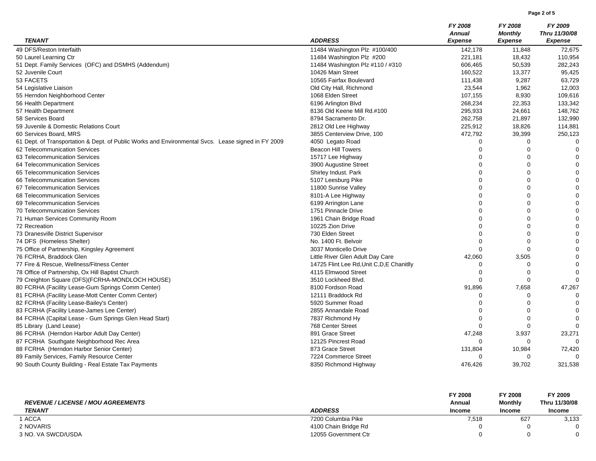**Page 2 of 5**

|                                                                                                    |                                            | FY 2008        | FY 2008        | FY 2009        |
|----------------------------------------------------------------------------------------------------|--------------------------------------------|----------------|----------------|----------------|
|                                                                                                    |                                            | <b>Annual</b>  | <b>Monthly</b> | Thru 11/30/08  |
| <b>TENANT</b>                                                                                      | <b>ADDRESS</b>                             | <b>Expense</b> | <b>Expense</b> | <b>Expense</b> |
| 49 DFS/Reston Interfaith                                                                           | 11484 Washington Plz #100/400              | 142,178        | 11,848         | 72,675         |
| 50 Laurel Learning Ctr                                                                             | 11484 Washington Plz #200                  | 221,181        | 18,432         | 110,954        |
| 51 Dept. Family Services (OFC) and DSMHS (Addendum)                                                | 11484 Washington Plz #110 / #310           | 606,465        | 50,539         | 282,243        |
| 52 Juvenile Court                                                                                  | 10426 Main Street                          | 160,522        | 13,377         | 95,425         |
| 53 FACETS                                                                                          | 10565 Fairfax Boulevard                    | 111,438        | 9,287          | 63,729         |
| 54 Legislative Liaison                                                                             | Old City Hall, Richmond                    | 23,544         | 1,962          | 12,003         |
| 55 Herndon Neighborhood Center                                                                     | 1068 Elden Street                          | 107,155        | 8,930          | 109,616        |
| 56 Health Department                                                                               | 6196 Arlington Blvd                        | 268,234        | 22,353         | 133,342        |
| 57 Health Department                                                                               | 8136 Old Keene Mill Rd.#100                | 295,933        | 24,661         | 148,762        |
| 58 Services Board                                                                                  | 8794 Sacramento Dr.                        | 262,758        | 21,897         | 132,990        |
| 59 Juvenile & Domestic Relations Court                                                             | 2812 Old Lee Highway                       | 225,912        | 18,826         | 114,881        |
| 60 Services Board, MRS                                                                             | 3855 Centerview Drive, 100                 | 472,792        | 39,399         | 250,123        |
| 61 Dept. of Transportation & Dept. of Public Works and Environmental Svcs. Lease signed in FY 2009 | 4050 Legato Road                           | $\Omega$       | $\Omega$       | $\Omega$       |
| 62 Telecommunication Services                                                                      | <b>Beacon Hill Towers</b>                  | $\Omega$       | $\Omega$       | $\mathbf 0$    |
| 63 Telecommunication Services                                                                      | 15717 Lee Highway                          |                | $\Omega$       | $\Omega$       |
| 64 Telecommunication Services                                                                      | 3900 Augustine Street                      |                | $\Omega$       | $\mathbf 0$    |
| 65 Telecommunication Services                                                                      | Shirley Indust. Park                       |                | $\Omega$       | $\Omega$       |
| 66 Telecommunication Services                                                                      | 5107 Leesburg Pike                         | $\Omega$       | $\Omega$       | $\Omega$       |
| 67 Telecommunication Services                                                                      | 11800 Sunrise Valley                       |                | $\Omega$       | $\mathbf 0$    |
| 68 Telecommunication Services                                                                      | 8101-A Lee Highway                         | $\Omega$       | $\Omega$       | $\mathbf 0$    |
| 69 Telecommunication Services                                                                      | 6199 Arrington Lane                        | $\Omega$       | $\Omega$       | $\Omega$       |
| <b>70 Telecommunication Services</b>                                                               | 1751 Pinnacle Drive                        | $\Omega$       | $\mathbf 0$    | 0              |
| 71 Human Services Community Room                                                                   | 1961 Chain Bridge Road                     | $\Omega$       | $\Omega$       | $\mathbf 0$    |
| 72 Recreation                                                                                      | 10225 Zion Drive                           | O              | $\Omega$       | $\Omega$       |
| 73 Dranesville District Supervisor                                                                 | 730 Elden Street                           |                | $\Omega$       | $\mathbf 0$    |
| 74 DFS (Homeless Shelter)                                                                          | No. 1400 Ft. Belvoir                       |                | $\Omega$       | $\Omega$       |
| 75 Office of Partnership, Kingsley Agreement                                                       | 3037 Monticello Drive                      | $\Omega$       | $\Omega$       | $\Omega$       |
| 76 FCRHA, Braddock Glen                                                                            | Little River Glen Adult Day Care           | 42,060         | 3,505          | $\mathbf 0$    |
| 77 Fire & Rescue, Wellness/Fitness Center                                                          | 14725 Flint Lee Rd, Unit C, D, E Chanitlly | ∩              | $\Omega$       | $\Omega$       |
| 78 Office of Partnership, Ox Hill Baptist Church                                                   | 4115 Elmwood Street                        | O              | $\Omega$       | $\Omega$       |
| 79 Creighton Square (DFS)(FCRHA-MONDLOCH HOUSE)                                                    | 3510 Lockheed Blvd.                        | $\Omega$       | $\mathbf 0$    | $\mathbf 0$    |
| 80 FCRHA (Facility Lease-Gum Springs Comm Center)                                                  | 8100 Fordson Road                          | 91,896         | 7,658          | 47,267         |
| 81 FCRHA (Facility Lease-Mott Center Comm Center)                                                  | 12111 Braddock Rd                          | $\Omega$       | $\Omega$       | $\Omega$       |
| 82 FCRHA (Facility Lease-Bailey's Center)                                                          | 5920 Summer Road                           | $\Omega$       | $\Omega$       | $\Omega$       |
| 83 FCRHA (Facility Lease-James Lee Center)                                                         | 2855 Annandale Road                        | O              | $\Omega$       | $\Omega$       |
| 84 FCRHA (Capital Lease - Gum Springs Glen Head Start)                                             | 7837 Richmond Hy                           | $\Omega$       | $\mathbf 0$    | $\Omega$       |
| 85 Library (Land Lease)                                                                            | 768 Center Street                          | $\Omega$       | $\Omega$       | $\Omega$       |
| 86 FCRHA (Herndon Harbor Adult Day Center)                                                         | 891 Grace Street                           | 47,248         | 3,937          | 23,271         |
| 87 FCRHA Southgate Neighborhood Rec Area                                                           | 12125 Pincrest Road                        | $\Omega$       | $\Omega$       |                |
| 88 FCRHA (Herndon Harbor Senior Center)                                                            | 873 Grace Street                           | 131,804        | 10,984         | 72,420         |
| 89 Family Services, Family Resource Center                                                         | 7224 Commerce Street                       | $\Omega$       | $\Omega$       |                |
| 90 South County Building - Real Estate Tax Payments                                                | 8350 Richmond Highway                      | 476.426        | 39,702         | 321,538        |

| <b>REVENUE / LICENSE / MOU AGREEMENTS</b> |                      | <b>FY 2008</b><br>Annual | FY 2008<br><b>Monthly</b> | FY 2009<br>Thru 11/30/08<br><b>Income</b> |  |
|-------------------------------------------|----------------------|--------------------------|---------------------------|-------------------------------------------|--|
| TENANT                                    | <b>ADDRESS</b>       | <b>Income</b>            | <b>Income</b>             |                                           |  |
| 1 ACCA                                    | 7200 Columbia Pike   | 7.518                    | 627                       | 3,133                                     |  |
| 2 NOVARIS                                 | 4100 Chain Bridge Rd |                          |                           |                                           |  |
| 3 NO. VA SWCD/USDA                        | 12055 Government Ctr |                          |                           |                                           |  |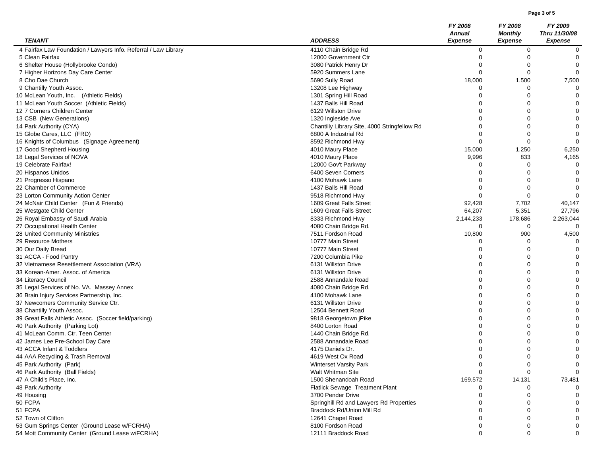**Page 3 of 5**

|                                                                 |                                              | FY 2008<br><b>Annual</b> | FY 2008<br><b>Monthly</b> | FY 2009<br>Thru 11/30/08 |
|-----------------------------------------------------------------|----------------------------------------------|--------------------------|---------------------------|--------------------------|
| <b>TENANT</b>                                                   | <b>ADDRESS</b>                               | <b>Expense</b>           | <b>Expense</b>            | <b>Expense</b>           |
| 4 Fairfax Law Foundation / Lawyers Info. Referral / Law Library | 4110 Chain Bridge Rd                         | 0                        | 0                         | 0                        |
| 5 Clean Fairfax                                                 | 12000 Government Ctr                         | 0                        | $\Omega$                  | $\mathbf 0$              |
| 6 Shelter House (Hollybrooke Condo)                             | 3080 Patrick Henry Dr                        | 0                        | $\Omega$                  | 0                        |
| 7 Higher Horizons Day Care Center                               | 5920 Summers Lane                            | 0                        | $\Omega$                  | $\Omega$                 |
| 8 Cho Dae Church                                                | 5690 Sully Road                              | 18,000                   | 1,500                     | 7,500                    |
| 9 Chantilly Youth Assoc.                                        | 13208 Lee Highway                            | 0                        | $\Omega$                  | 0                        |
| 10 McLean Youth, Inc. (Athletic Fields)                         | 1301 Spring Hill Road                        | 0                        | $\Omega$                  |                          |
| 11 McLean Youth Soccer (Athletic Fields)                        | 1437 Balls Hill Road                         | 0                        | $\Omega$                  | $\Omega$                 |
| 12 7 Corners Children Center                                    | 6129 Willston Drive                          | 0                        | $\Omega$                  | $\Omega$                 |
| 13 CSB (New Generations)                                        | 1320 Ingleside Ave                           | $\Omega$                 | $\Omega$                  | 0                        |
| 14 Park Authority (CYA)                                         | Chantilly Library Site, 4000 Stringfellow Rd | $\Omega$                 | $\Omega$                  | 0                        |
| 15 Globe Cares, LLC (FRD)                                       | 6800 A Industrial Rd                         | 0                        | $\Omega$                  | $\Omega$                 |
| 16 Knights of Columbus (Signage Agreement)                      | 8592 Richmond Hwy                            | $\Omega$                 | $\Omega$                  | $\Omega$                 |
| 17 Good Shepherd Housing                                        | 4010 Maury Place                             | 15,000                   | 1,250                     | 6,250                    |
| 18 Legal Services of NOVA                                       | 4010 Maury Place                             | 9,996                    | 833                       | 4,165                    |
| 19 Celebrate Fairfax!                                           | 12000 Gov't Parkway                          | 0                        | $\Omega$                  | 0                        |
| 20 Hispanos Unidos                                              | 6400 Seven Corners                           | 0                        |                           | $\Omega$                 |
| 21 Progresso Hispano                                            | 4100 Mohawk Lane                             | 0                        | $\Omega$                  | $\Omega$                 |
| 22 Chamber of Commerce                                          | 1437 Balls Hill Road                         |                          | $\Omega$                  | $\Omega$                 |
| 23 Lorton Community Action Center                               | 9518 Richmond Hwy                            | $\Omega$                 | $\Omega$                  | $\Omega$                 |
| 24 McNair Child Center (Fun & Friends)                          | 1609 Great Falls Street                      | 92,428                   | 7,702                     | 40,147                   |
| 25 Westgate Child Center                                        | 1609 Great Falls Street                      | 64,207                   | 5,351                     | 27,796                   |
| 26 Royal Embassy of Saudi Arabia                                | 8333 Richmond Hwy                            | 2,144,233                | 178,686                   | 2,263,044                |
| 27 Occupational Health Center                                   | 4080 Chain Bridge Rd.                        | 0                        | $\Omega$                  |                          |
| 28 United Community Ministries                                  | 7511 Fordson Road                            | 10,800                   | 900                       | 4,500                    |
| 29 Resource Mothers                                             | 10777 Main Street                            | 0                        | $\Omega$                  | 0                        |
| 30 Our Daily Bread                                              | 10777 Main Street                            | 0                        |                           |                          |
| 31 ACCA - Food Pantry                                           | 7200 Columbia Pike                           | 0                        | $\Omega$                  | $\Omega$                 |
| 32 Vietnamese Resettlement Association (VRA)                    | 6131 Willston Drive                          |                          | $\Omega$                  | $\Omega$                 |
| 33 Korean-Amer. Assoc. of America                               | 6131 Willston Drive                          | 0                        | $\Omega$                  | 0                        |
| 34 Literacy Council                                             | 2588 Annandale Road                          | 0                        | $\Omega$                  | 0                        |
| 35 Legal Services of No. VA. Massey Annex                       | 4080 Chain Bridge Rd.                        | 0                        | $\Omega$                  | $\mathbf 0$              |
| 36 Brain Injury Services Partnership, Inc.                      | 4100 Mohawk Lane                             | $\Omega$                 | $\Omega$                  | $\mathbf 0$              |
| 37 Newcomers Community Service Ctr.                             | 6131 Willston Drive                          | ∩                        | $\Omega$                  | $\Omega$                 |
| 38 Chantilly Youth Assoc.                                       | 12504 Bennett Road                           | 0                        | $\Omega$                  | $\mathbf 0$              |
| 39 Great Falls Athletic Assoc. (Soccer field/parking)           | 9818 Georgetown jPike                        |                          | $\Omega$                  | $\mathbf 0$              |
| 40 Park Authority (Parking Lot)                                 | 8400 Lorton Road                             | O                        | $\Omega$                  | 0                        |
| 41 McLean Comm. Ctr. Teen Center                                | 1440 Chain Bridge Rd.                        | 0                        | $\Omega$                  | $\Omega$                 |
| 42 James Lee Pre-School Day Care                                | 2588 Annandale Road                          |                          |                           | 0                        |
| 43 ACCA Infant & Toddlers                                       | 4175 Daniels Dr.                             | 0                        | $\Omega$                  | 0                        |
| 44 AAA Recycling & Trash Removal                                | 4619 West Ox Road                            | ∩                        | $\Omega$                  | $\Omega$                 |
| 45 Park Authority (Park)                                        | <b>Winterset Varsity Park</b>                | 0                        | 0                         | 0                        |
| 46 Park Authority (Ball Fields)                                 | Walt Whitman Site                            | 0                        | $\mathbf 0$               | 0                        |
| 47 A Child's Place, Inc.                                        | 1500 Shenandoah Road                         | 169,572                  | 14,131                    | 73,481                   |
| 48 Park Authority                                               | Flatlick Sewage Treatment Plant              | 0                        | -0                        |                          |
| 49 Housing                                                      | 3700 Pender Drive                            |                          |                           | 0                        |
| 50 FCPA                                                         | Springhill Rd and Lawyers Rd Properties      |                          |                           |                          |
| 51 FCPA                                                         | Braddock Rd/Union Mill Rd                    |                          |                           |                          |
| 52 Town of Clifton                                              | 12641 Chapel Road                            |                          |                           | 0                        |
| 53 Gum Springs Center (Ground Lease w/FCRHA)                    | 8100 Fordson Road                            | 0                        | 0                         | 0                        |
| 54 Mott Community Center (Ground Lease w/FCRHA)                 | 12111 Braddock Road                          | $\mathbf 0$              | 0                         | 0                        |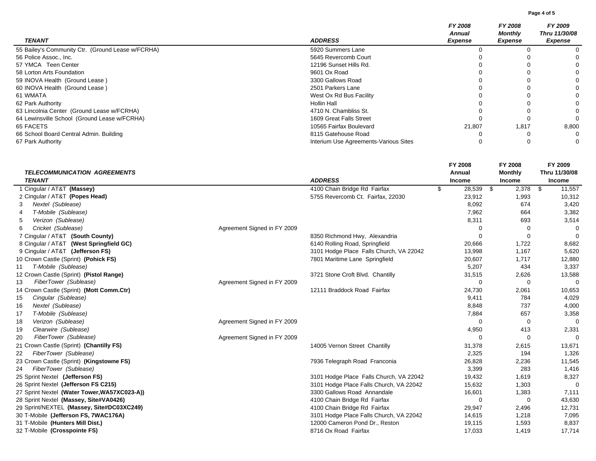**Page 4 of 5**

|                                                   |                                       | FY 2008                  | <b>FY 2008</b>     | FY 2009                  |  |
|---------------------------------------------------|---------------------------------------|--------------------------|--------------------|--------------------------|--|
| <b>TENANT</b>                                     | <b>ADDRESS</b>                        | Annual<br><b>Expense</b> | Monthly<br>Expense | Thru 11/30/08<br>Expense |  |
| 55 Bailey's Community Ctr. (Ground Lease w/FCRHA) | 5920 Summers Lane                     |                          |                    |                          |  |
| 56 Police Assoc., Inc.                            | 5645 Revercomb Court                  |                          |                    |                          |  |
| 57 YMCA Teen Center                               | 12196 Sunset Hills Rd.                |                          |                    |                          |  |
| 58 Lorton Arts Foundation                         | 9601 Ox Road                          |                          |                    |                          |  |
| 59 INOVA Health (Ground Lease)                    | 3300 Gallows Road                     |                          |                    |                          |  |
| 60 INOVA Health (Ground Lease)                    | 2501 Parkers Lane                     |                          |                    | 0                        |  |
| 61 WMATA                                          | West Ox Rd Bus Facility               |                          |                    |                          |  |
| 62 Park Authority                                 | Hollin Hall                           |                          |                    |                          |  |
| 63 Lincolnia Center (Ground Lease w/FCRHA)        | 4710 N. Chambliss St.                 |                          |                    |                          |  |
| 64 Lewinsville School (Ground Lease w/FCRHA)      | 1609 Great Falls Street               |                          |                    |                          |  |
| 65 FACETS                                         | 10565 Fairfax Boulevard               | 21,807                   | 1,817              | 8,800                    |  |
| 66 School Board Central Admin. Building           | 8115 Gatehouse Road                   |                          |                    |                          |  |
| 67 Park Authority                                 | Interium Use Agreements-Various Sites |                          |                    | 0                        |  |

|                                              |                             |                                         |        | FY 2008       |      | FY 2008        |    | FY 2009       |  |
|----------------------------------------------|-----------------------------|-----------------------------------------|--------|---------------|------|----------------|----|---------------|--|
| <b>TELECOMMUNICATION AGREEMENTS</b>          |                             |                                         | Annual |               |      | <b>Monthly</b> |    | Thru 11/30/08 |  |
| <b>TENANT</b>                                |                             | <b>ADDRESS</b>                          |        | <b>Income</b> |      | Income         |    | Income        |  |
| 1 Cingular / AT&T (Massey)                   |                             | 4100 Chain Bridge Rd Fairfax            | \$     | 28,539        | - \$ | 2,378          | \$ | 11,557        |  |
| 2 Cingular / AT&T (Popes Head)               |                             | 5755 Revercomb Ct. Fairfax, 22030       |        | 23,912        |      | 1,993          |    | 10,312        |  |
| Nextel (Sublease)<br>3                       |                             |                                         |        | 8,092         |      | 674            |    | 3,420         |  |
| T-Mobile (Sublease)                          |                             |                                         |        | 7,962         |      | 664            |    | 3,382         |  |
| Verizon (Sublease)                           |                             |                                         |        | 8,311         |      | 693            |    | 3,514         |  |
| Cricket (Sublease)                           | Agreement Signed in FY 2009 |                                         |        |               |      | $\Omega$       |    | $\Omega$      |  |
| 7 Cingular / AT&T (South County)             |                             | 8350 Richmond Hwy, Alexandria           |        |               |      | $\Omega$       |    | $\Omega$      |  |
| 8 Cingular / AT&T (West Springfield GC)      |                             | 6140 Rolling Road, Springfield          |        | 20,666        |      | 1,722          |    | 8,682         |  |
| 9 Cingular / AT&T (Jefferson FS)             |                             | 3101 Hodge Place Falls Church, VA 22042 |        | 13,998        |      | 1,167          |    | 5,620         |  |
| 10 Crown Castle (Sprint) (Pohick FS)         |                             | 7801 Maritime Lane Springfield          |        | 20,607        |      | 1,717          |    | 12,880        |  |
| T-Mobile (Sublease)<br>11                    |                             |                                         |        | 5,207         |      | 434            |    | 3,337         |  |
| 12 Crown Castle (Sprint) (Pistol Range)      |                             | 3721 Stone Croft Blvd. Chantilly        |        | 31,515        |      | 2,626          |    | 13,588        |  |
| FiberTower (Sublease)<br>13                  | Agreement Signed in FY 2009 |                                         |        | $\Omega$      |      | $\Omega$       |    | $\Omega$      |  |
| 14 Crown Castle (Sprint) (Mott Comm.Ctr)     |                             | 12111 Braddock Road Fairfax             |        | 24,730        |      | 2,061          |    | 10,653        |  |
| Cingular (Sublease)<br>15                    |                             |                                         |        | 9,411         |      | 784            |    | 4,029         |  |
| Nextel (Sublease)<br>16                      |                             |                                         |        | 8,848         |      | 737            |    | 4,000         |  |
| T-Mobile (Sublease)<br>-17                   |                             |                                         |        | 7,884         |      | 657            |    | 3,358         |  |
| Verizon (Sublease)<br>18                     | Agreement Signed in FY 2009 |                                         |        | 0             |      | $\mathbf 0$    |    | $\Omega$      |  |
| Clearwire (Sublease)<br>19                   |                             |                                         |        | 4,950         |      | 413            |    | 2,331         |  |
| FiberTower (Sublease)<br>20                  | Agreement Signed in FY 2009 |                                         |        | $\Omega$      |      | $\Omega$       |    | $\Omega$      |  |
| 21 Crown Castle (Sprint) (Chantilly FS)      |                             | 14005 Vernon Street Chantilly           |        | 31,378        |      | 2,615          |    | 13,671        |  |
| FiberTower (Sublease)<br>22                  |                             |                                         |        | 2,325         |      | 194            |    | 1,326         |  |
| 23 Crown Castle (Sprint) (Kingstowne FS)     |                             | 7936 Telegraph Road Franconia           |        | 26,828        |      | 2,236          |    | 11,545        |  |
| FiberTower (Sublease)<br>24                  |                             |                                         |        | 3,399         |      | 283            |    | 1,416         |  |
| 25 Sprint Nextel (Jefferson FS)              |                             | 3101 Hodge Place Falls Church, VA 22042 |        | 19,432        |      | 1,619          |    | 8,327         |  |
| 26 Sprint Nextel (Jefferson FS C215)         |                             | 3101 Hodge Place Falls Church, VA 22042 |        | 15,632        |      | 1,303          |    | $\Omega$      |  |
| 27 Sprint Nextel (Water Tower, WA57XC023-A)) |                             | 3300 Gallows Road Annandale             |        | 16,601        |      | 1,383          |    | 7,111         |  |
| 28 Sprint Nextel (Massey, Site#VA0426)       |                             | 4100 Chain Bridge Rd Fairfax            |        | 0             |      | $\Omega$       |    | 43,630        |  |
| 29 Sprint/NEXTEL (Massey, Site#DC03XC249)    |                             | 4100 Chain Bridge Rd Fairfax            |        | 29,947        |      | 2,496          |    | 12,731        |  |
| 30 T-Mobile (Jefferson FS, 7WAC176A)         |                             | 3101 Hodge Place Falls Church, VA 22042 |        | 14,615        |      | 1,218          |    | 7,095         |  |
| 31 T-Mobile (Hunters Mill Dist.)             |                             | 12000 Cameron Pond Dr., Reston          |        | 19,115        |      | 1,593          |    | 8,837         |  |
| 32 T-Mobile (Crosspointe FS)                 |                             | 8716 Ox Road Fairfax                    |        | 17,033        |      | 1,419          |    | 17,714        |  |